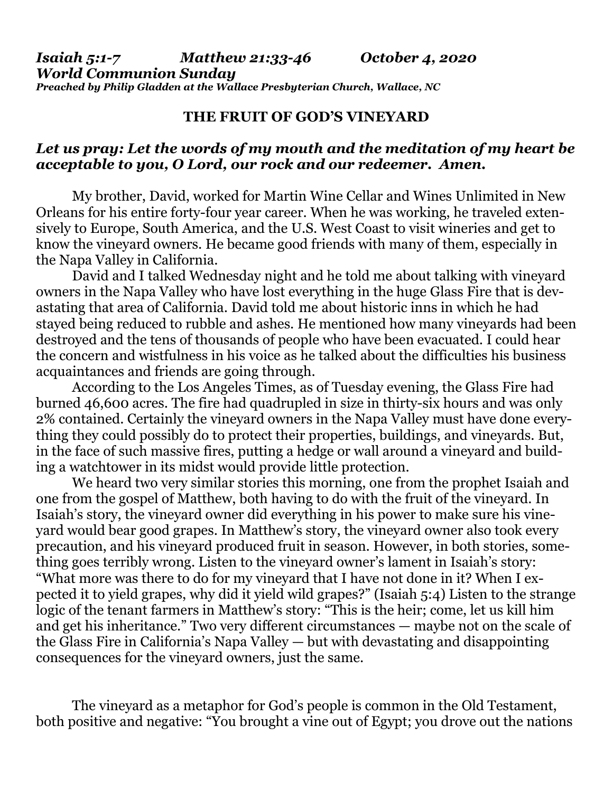*Isaiah 5:1-7 Matthew 21:33-46 October 4, 2020 World Communion Sunday Preached by Philip Gladden at the Wallace Presbyterian Church, Wallace, NC*

## **THE FRUIT OF GOD'S VINEYARD**

## *Let us pray: Let the words of my mouth and the meditation of my heart be acceptable to you, O Lord, our rock and our redeemer. Amen.*

My brother, David, worked for Martin Wine Cellar and Wines Unlimited in New Orleans for his entire forty-four year career. When he was working, he traveled extensively to Europe, South America, and the U.S. West Coast to visit wineries and get to know the vineyard owners. He became good friends with many of them, especially in the Napa Valley in California.

David and I talked Wednesday night and he told me about talking with vineyard owners in the Napa Valley who have lost everything in the huge Glass Fire that is devastating that area of California. David told me about historic inns in which he had stayed being reduced to rubble and ashes. He mentioned how many vineyards had been destroyed and the tens of thousands of people who have been evacuated. I could hear the concern and wistfulness in his voice as he talked about the difficulties his business acquaintances and friends are going through.

According to the Los Angeles Times, as of Tuesday evening, the Glass Fire had burned 46,600 acres. The fire had quadrupled in size in thirty-six hours and was only 2% contained. Certainly the vineyard owners in the Napa Valley must have done everything they could possibly do to protect their properties, buildings, and vineyards. But, in the face of such massive fires, putting a hedge or wall around a vineyard and building a watchtower in its midst would provide little protection.

We heard two very similar stories this morning, one from the prophet Isaiah and one from the gospel of Matthew, both having to do with the fruit of the vineyard. In Isaiah's story, the vineyard owner did everything in his power to make sure his vineyard would bear good grapes. In Matthew's story, the vineyard owner also took every precaution, and his vineyard produced fruit in season. However, in both stories, something goes terribly wrong. Listen to the vineyard owner's lament in Isaiah's story: "What more was there to do for my vineyard that I have not done in it? When I expected it to yield grapes, why did it yield wild grapes?" (Isaiah 5:4) Listen to the strange logic of the tenant farmers in Matthew's story: "This is the heir; come, let us kill him and get his inheritance." Two very different circumstances — maybe not on the scale of the Glass Fire in California's Napa Valley — but with devastating and disappointing consequences for the vineyard owners, just the same.

The vineyard as a metaphor for God's people is common in the Old Testament, both positive and negative: "You brought a vine out of Egypt; you drove out the nations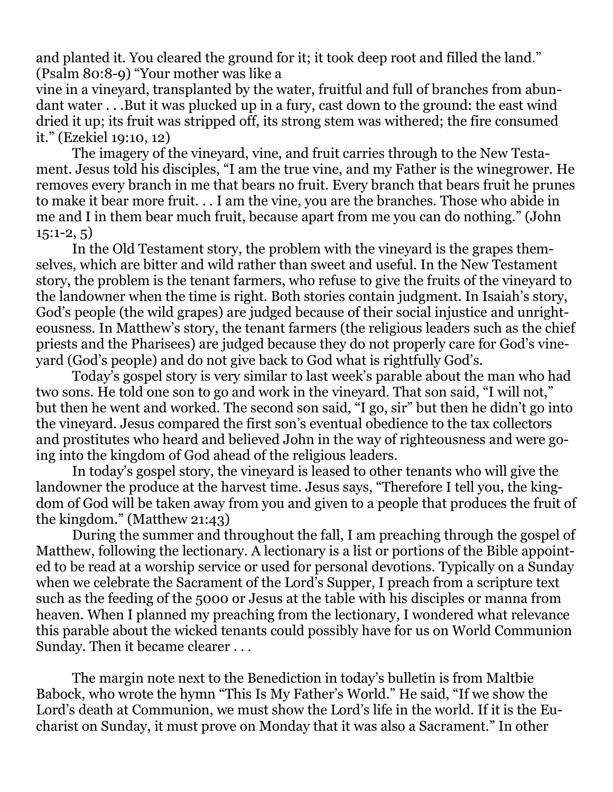and planted it. You cleared the ground for it; it took deep root and filled the land." (Psalm 80:8-9) "Your mother was like a

vine in a vineyard, transplanted by the water, fruitful and full of branches from abundant water . . .But it was plucked up in a fury, cast down to the ground: the east wind dried it up; its fruit was stripped off, its strong stem was withered; the fire consumed it." (Ezekiel 19:10, 12)

The imagery of the vineyard, vine, and fruit carries through to the New Testament. Jesus told his disciples, "I am the true vine, and my Father is the winegrower. He removes every branch in me that bears no fruit. Every branch that bears fruit he prunes to make it bear more fruit. . . I am the vine, you are the branches. Those who abide in me and I in them bear much fruit, because apart from me you can do nothing." (John  $15:1-2, 5)$ 

In the Old Testament story, the problem with the vineyard is the grapes themselves, which are bitter and wild rather than sweet and useful. In the New Testament story, the problem is the tenant farmers, who refuse to give the fruits of the vineyard to the landowner when the time is right. Both stories contain judgment. In Isaiah's story, God's people (the wild grapes) are judged because of their social injustice and unrighteousness. In Matthew's story, the tenant farmers (the religious leaders such as the chief priests and the Pharisees) are judged because they do not properly care for God's vineyard (God's people) and do not give back to God what is rightfully God's.

Today's gospel story is very similar to last week's parable about the man who had two sons. He told one son to go and work in the vineyard. That son said, "I will not," but then he went and worked. The second son said, "I go, sir" but then he didn't go into the vineyard. Jesus compared the first son's eventual obedience to the tax collectors and prostitutes who heard and believed John in the way of righteousness and were going into the kingdom of God ahead of the religious leaders.

In today's gospel story, the vineyard is leased to other tenants who will give the landowner the produce at the harvest time. Jesus says, "Therefore I tell you, the kingdom of God will be taken away from you and given to a people that produces the fruit of the kingdom." (Matthew 21:43)

During the summer and throughout the fall, I am preaching through the gospel of Matthew, following the lectionary. A lectionary is a list or portions of the Bible appointed to be read at a worship service or used for personal devotions. Typically on a Sunday when we celebrate the Sacrament of the Lord's Supper, I preach from a scripture text such as the feeding of the 5000 or Jesus at the table with his disciples or manna from heaven. When I planned my preaching from the lectionary, I wondered what relevance this parable about the wicked tenants could possibly have for us on World Communion Sunday. Then it became clearer . . .

The margin note next to the Benediction in today's bulletin is from Maltbie Babock, who wrote the hymn "This Is My Father's World." He said, "If we show the Lord's death at Communion, we must show the Lord's life in the world. If it is the Eucharist on Sunday, it must prove on Monday that it was also a Sacrament." In other